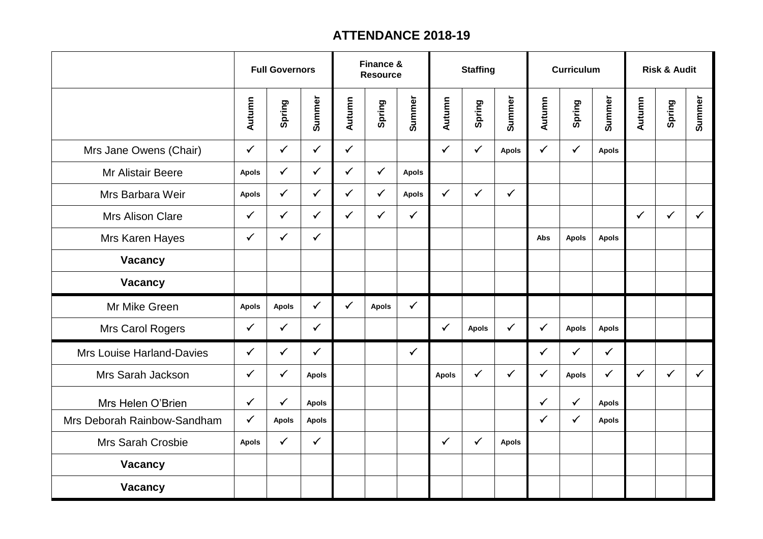## **ATTENDANCE 2018-19**

|                                  | <b>Full Governors</b> |              |              | Finance &<br><b>Resource</b> |              |              | <b>Staffing</b> |              |              | <b>Curriculum</b> |              |              | <b>Risk &amp; Audit</b> |              |              |  |
|----------------------------------|-----------------------|--------------|--------------|------------------------------|--------------|--------------|-----------------|--------------|--------------|-------------------|--------------|--------------|-------------------------|--------------|--------------|--|
|                                  | Autumn                | Spring       | Summer       | Autumn                       | Spring       | Summer       | Autumn          | Spring       | Summer       | Autumn            | Spring       | Summer       | Autumn                  | Spring       | Summer       |  |
| Mrs Jane Owens (Chair)           | $\checkmark$          | $\checkmark$ | $\checkmark$ | $\checkmark$                 |              |              | $\checkmark$    | $\checkmark$ | <b>Apols</b> | $\checkmark$      | $\checkmark$ | <b>Apols</b> |                         |              |              |  |
| <b>Mr Alistair Beere</b>         | <b>Apols</b>          | $\checkmark$ | $\checkmark$ | $\checkmark$                 | $\checkmark$ | <b>Apols</b> |                 |              |              |                   |              |              |                         |              |              |  |
| Mrs Barbara Weir                 | <b>Apols</b>          | $\checkmark$ | $\checkmark$ | $\checkmark$                 | $\checkmark$ | <b>Apols</b> | $\checkmark$    | $\checkmark$ | $\checkmark$ |                   |              |              |                         |              |              |  |
| <b>Mrs Alison Clare</b>          | $\checkmark$          | $\checkmark$ | $\checkmark$ | $\checkmark$                 | $\checkmark$ | $\checkmark$ |                 |              |              |                   |              |              | $\checkmark$            | $\checkmark$ | $\checkmark$ |  |
| Mrs Karen Hayes                  | $\checkmark$          | $\checkmark$ | $\checkmark$ |                              |              |              |                 |              |              | Abs               | <b>Apols</b> | <b>Apols</b> |                         |              |              |  |
| Vacancy                          |                       |              |              |                              |              |              |                 |              |              |                   |              |              |                         |              |              |  |
| Vacancy                          |                       |              |              |                              |              |              |                 |              |              |                   |              |              |                         |              |              |  |
| Mr Mike Green                    | <b>Apols</b>          | <b>Apols</b> | $\checkmark$ | $\checkmark$                 | <b>Apols</b> | $\checkmark$ |                 |              |              |                   |              |              |                         |              |              |  |
| Mrs Carol Rogers                 | $\checkmark$          | $\checkmark$ | $\checkmark$ |                              |              |              | $\checkmark$    | <b>Apols</b> | $\checkmark$ | $\checkmark$      | <b>Apols</b> | <b>Apols</b> |                         |              |              |  |
| <b>Mrs Louise Harland-Davies</b> | $\checkmark$          | $\checkmark$ | $\checkmark$ |                              |              | $\checkmark$ |                 |              |              | $\checkmark$      | $\checkmark$ | $\checkmark$ |                         |              |              |  |
| Mrs Sarah Jackson                | $\checkmark$          | $\checkmark$ | <b>Apols</b> |                              |              |              | <b>Apols</b>    | $\checkmark$ | $\checkmark$ | $\checkmark$      | <b>Apols</b> | $\checkmark$ | $\checkmark$            | $\checkmark$ | $\checkmark$ |  |
| Mrs Helen O'Brien                | $\checkmark$          | $\checkmark$ | <b>Apols</b> |                              |              |              |                 |              |              | $\checkmark$      | $\checkmark$ | <b>Apols</b> |                         |              |              |  |
| Mrs Deborah Rainbow-Sandham      | $\checkmark$          | <b>Apols</b> | <b>Apols</b> |                              |              |              |                 |              |              | $\checkmark$      | $\checkmark$ | <b>Apols</b> |                         |              |              |  |
| Mrs Sarah Crosbie                | <b>Apols</b>          | $\checkmark$ | $\checkmark$ |                              |              |              | $\checkmark$    | $\checkmark$ | <b>Apols</b> |                   |              |              |                         |              |              |  |
| Vacancy                          |                       |              |              |                              |              |              |                 |              |              |                   |              |              |                         |              |              |  |
| Vacancy                          |                       |              |              |                              |              |              |                 |              |              |                   |              |              |                         |              |              |  |